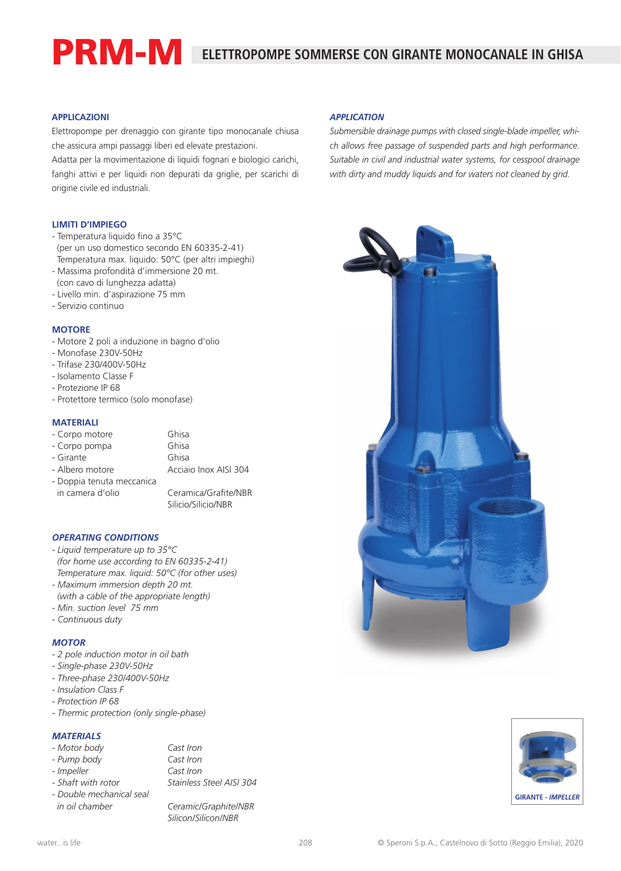# **ELETTROPOMPE SOMMERSE CON GIRANTE MONOCANALE IN GHISA**

## **APPLICAZIONI**

Elettropompe per drenaggio con girante tipo monocanale chiusa che assicura ampi passaggi liberi ed elevate prestazioni.

Adatta per la movimentazione di liquidi fognari e biologici carichi, fanghi attivi e per liquidi non depurati da griglie, per scarichi di origine civile ed industriali.

#### **LIMITI D'IMPIEGO**

- Temperatura liquido fino a 35°C

PRM-M

- (per un uso domestico secondo EN 60335-2-41) Temperatura max. liquido: 50°C (per altri impieghi)
- Massima profondità d'immersione 20 mt.
- (con cavo di lunghezza adatta) - Livello min. d'aspirazione 75 mm
- Servizio continuo

#### **MOTORE**

- Motore 2 poli a induzione in bagno d'olio
- Monofase 230V-50Hz
- Trifase 230/400V-50Hz
- Isolamento Classe F
- Protezione IP 68
- Protettore termico (solo monofase)

## **MATERIALI**

- Corpo motore Ghisa

- Corpo pompa Ghisa

- Girante Ghisa

- Albero motore **Acciaio Inox AISI 304** 

- Doppia tenuta meccanica in camera d'olio Ceramica/Grafite/NBR

Silicio/Silicio/NBR

#### *OPERATING CONDITIONS*

- *Liquid temperature up to 35°C (for home use according to EN 60335-2-41) Temperature max. liquid: 50°C (for other uses)*
- *Maximum immersion depth 20 mt.*
- *(with a cable of the appropriate length)*
- *Min. suction level 75 mm*
- *Continuous duty*

## *MOTOR*

- *2 pole induction motor in oil bath*
- *Single-phase 230V-50Hz*
- *Three-phase 230/400V-50Hz*
- *Insulation Class F*
- *Protection IP 68*
- *Thermic protection (only single-phase)*

## *MATERIALS*

- *Motor body Cast Iron*
- *Pump body Cast Iron*
- 
- 
- *Double mechanical seal in oil chamber Ceramic/Graphite/NBR*

*- Impeller Cast Iron - Shaft with rotor Stainless Steel AISI 304*

*Silicon/Silicon/NBR*

## *APPLICATION*

*Submersible drainage pumps with closed single-blade impeller, which allows free passage of suspended parts and high performance. Suitable in civil and industrial water systems, for cesspool drainage with dirty and muddy liquids and for waters not cleaned by grid.*